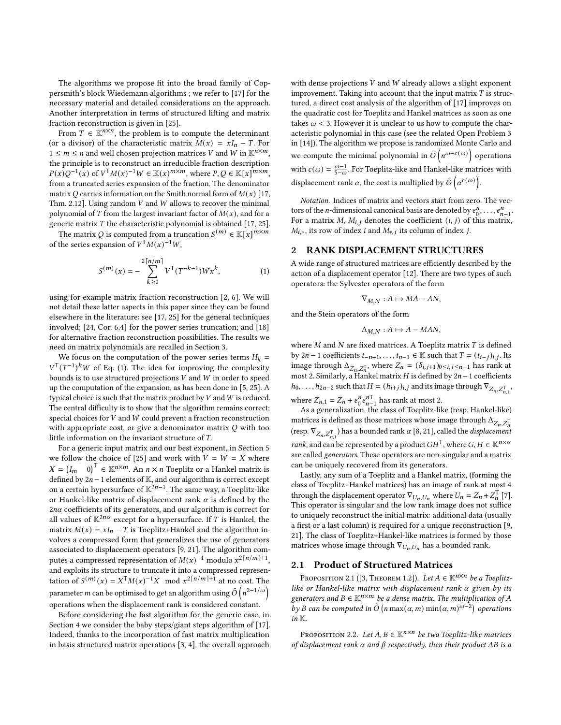The algorithms we propose fit into the broad family of Coppersmith's block Wiedemann algorithms ; we refer to [\[17\]](#page-7-0) for the necessary material and detailed considerations on the approach. Another interpretation in terms of structured lifting and matrix fraction reconstruction is given in [\[25\]](#page-7-1).

From  $T \in \mathbb{K}^{n \times n}$ , the problem is to compute the determinant (or a divisor) of the characteristic matrix  $M(x) = xI_n - T$ . For  $1 \le m \le n$  and well chosen projection matrices V and W in  $\mathbb{K}^{n \times m}$ , the principle is to reconstruct an irreducible fraction description  $P(x)Q^{-1}(x)$  of  $V^{\mathsf{T}}M(x)^{-1}W \in \mathbb{K}(x)^{m \times m}$ , where  $P, Q \in \mathbb{K}[x]^{m \times m}$ , from a truncated series expansion of the fraction. The denominator matrix Q carries information on the Smith normal form of  $M(x)$  [\[17,](#page-7-0) Thm. 2.12]. Using random  $V$  and  $W$  allows to recover the minimal polynomial of T from the largest invariant factor of  $M(x)$ , and for a generic matrix  $T$  the characteristic polynomial is obtained [\[17,](#page-7-0) [25\]](#page-7-1).

The matrix Q is computed from a truncation  $S^{(m)} \in \mathbb{K}[x]^{m \times m}$ of the series expansion of  $V^{\mathsf{T}}M(x)^{-1}W$ ,

<span id="page-1-0"></span>
$$
S^{(m)}(x) = -\sum_{k\geq 0}^{2\lceil n/m \rceil} V^{\mathsf{T}}(T^{-k-1}) W x^k, \tag{1}
$$

using for example matrix fraction reconstruction [\[2,](#page-7-2) [6\]](#page-7-3). We will not detail these latter aspects in this paper since they can be found elsewhere in the literature: see [\[17,](#page-7-0) [25\]](#page-7-1) for the general techniques involved; [\[24,](#page-7-4) Cor. 6.4] for the power series truncation; and [\[18\]](#page-7-5) for alternative fraction reconstruction possibilities. The results we need on matrix polynomials are recalled in Section [3.](#page-3-0)

We focus on the computation of the power series terms  $H_k =$  $V^{\mathsf{T}}(T^{-1})^k W$  of Eq. [\(1\)](#page-1-0). The idea for improving the complexity bounds is to use structured projections  $V$  and  $W$  in order to speed up the computation of the expansion, as has been done in [\[5,](#page-7-6) [25\]](#page-7-1). A typical choice is such that the matrix product by  $V$  and  $W$  is reduced. The central difficulty is to show that the algorithm remains correct; special choices for  $V$  and  $W$  could prevent a fraction reconstruction with appropriate cost, or give a denominator matrix  $Q$  with too little information on the invariant structure of  $T$ .

For a generic input matrix and our best exponent, in Section [5](#page-4-0) we follow the choice of [\[25\]](#page-7-1) and work with  $V = W = X$  where  $X = (I_m \ 0)^{\mathsf{T}} \in \mathbb{K}^{n \times m}$ . An  $n \times n$  Toeplitz or a Hankel matrix is defined by  $2n - 1$  elements of K, and our algorithm is correct except on a certain hypersurface of  $\mathbb{K}^{2n-1}$ . The same way, a Toeplitz-like or Hankel-like matrix of displacement rank  $\alpha$  is defined by the  $2n\alpha$  coefficients of its generators, and our algorithm is correct for all values of  $\mathbb{K}^{2n\alpha}$  except for a hypersurface. If T is Hankel, the matrix  $M(x) = xI_n - T$  is Toeplitz+Hankel and the algorithm involves a compressed form that generalizes the use of generators associated to displacement operators [\[9,](#page-7-7) [21\]](#page-7-8). The algorithm computes a compressed representation of  $M(x)^{-1}$  modulo  $x^{2\lceil n/m \rceil + 1}$ , and exploits its structure to truncate it into a compressed representation of  $S^{(m)}(x) = X^{\mathsf{T}} M(x)^{-1} X \mod x^{2\lceil n/m \rceil + 1}$  at no cost. The parameter  $m$  can be optimised to get an algorithm using  $\tilde{O}\left(n^{2-1/\omega}\right)$ operations when the displacement rank is considered constant.

Before considering the fast algorithm for the generic case, in Section [4](#page-3-1) we consider the baby steps/giant steps algorithm of [\[17\]](#page-7-0). Indeed, thanks to the incorporation of fast matrix multiplication in basis structured matrix operations [\[3,](#page-7-9) [4\]](#page-7-10), the overall approach

with dense projections  $V$  and  $W$  already allows a slight exponent improvement. Taking into account that the input matrix  $T$  is structured, a direct cost analysis of the algorithm of [\[17\]](#page-7-0) improves on the quadratic cost for Toeplitz and Hankel matrices as soon as one takes  $\omega$  < 3. However it is unclear to us how to compute the characteristic polynomial in this case (see the related Open Problem 3 in [\[14\]](#page-7-11)). The algorithm we propose is randomized Monte Carlo and we compute the minimal polynomial in  $\tilde{O}(n^{\omega-c(\omega)})$  operations with  $c(\omega) = \frac{\omega - 1}{5 - \omega}$ . For Toeplitz-like and Hankel-like matrices with displacement rank  $\alpha$ , the cost is multiplied by  $\tilde{O}(\alpha^{c(\omega)})$ .

Notation. Indices of matrix and vectors start from zero. The vectors of the *n*-dimensional canonical basis are denoted by  $e_0^n, \ldots, e_{n-1}^n$ . For a matrix M,  $M_{i,j}$  denotes the coefficient  $(i, j)$  of this matrix,  $M_{i,*}$ , its row of index *i* and  $M_{*,i}$  its column of index *j*.

### 2 RANK DISPLACEMENT STRUCTURES

A wide range of structured matrices are efficiently described by the action of a displacement operator [\[12\]](#page-7-12). There are two types of such operators: the Sylvester operators of the form

$$
\nabla_{M,N} : A \mapsto MA - AN,
$$

and the Stein operators of the form

$$
\Delta_{M,N}: A \mapsto A - MAN,
$$

where  $M$  and  $N$  are fixed matrices. A Toeplitz matrix  $T$  is defined by 2*n* − 1 coefficients  $t_{-n+1}, \ldots, t_{n-1} \in \mathbb{K}$  such that  $T = (t_{i-j})_{i,j}$ . Its image through  $\Delta_{Z_n, Z_n^{\mathsf{T}}}$ , where  $Z_n = (\delta_{i,j+1})_{0 \le i,j \le n-1}$  has rank at most 2. Similarly, a Hankel matrix  $H$  is defined by 2n – 1 coefficients  $h_0, \ldots, h_{2n-2}$  such that  $H = (h_{i+j})_{i,j}$  and its image through  $\nabla_{Z_n, Z_{n,1}^T}$ where  $Z_{n,1} = Z_n + e_0^n e_{n-1}^{nT}$  has rank at most 2.

As a generalization, the class of Toeplitz-like (resp. Hankel-like) matrices is defined as those matrices whose image through  $\Delta_{Z_n,Z_n^T}$ (resp.  $\nabla_{Z_n, Z_{n,1}^\mathsf{T}}$  ) has a bounded rank  $\alpha$  [\[8,](#page-7-13) [21\]](#page-7-8), called the *displacement rank*, and can be represented by a product  $GH^{\mathsf{T}}$ , where  $G, H \in \mathbb{K}^{n \times \alpha}$ are called generators. These operators are non-singular and a matrix can be uniquely recovered from its generators.

Lastly, any sum of a Toeplitz and a Hankel matrix, (forming the class of Toeplitz+Hankel matrices) has an image of rank at most 4 through the displacement operator  $\nabla_{U_n, U_n}$  where  $U_n = Z_n + Z_n^{\mathsf{T}}$  [\[7\]](#page-7-14). This operator is singular and the low rank image does not suffice to uniquely reconstruct the initial matrix: additional data (usually a first or a last column) is required for a unique reconstruction [\[9,](#page-7-7) [21\]](#page-7-8). The class of Toeplitz+Hankel-like matrices is formed by those matrices whose image through  $\nabla_{U_n,U_n}$  has a bounded rank.

#### 2.1 Product of Structured Matrices

<span id="page-1-2"></span>PROPOSITION 2.1 ([\[3,](#page-7-9) THEOREM 1.2]). Let  $A \in \mathbb{K}^{n \times n}$  be a Toeplitzlike or Hankel-like matrix with displacement rank  $\alpha$  given by its generators and  $B \in \mathbb{K}^{n \times m}$  be a dense matrix. The multiplication of A by B can be computed in  $\tilde{O}$  (n max( $\alpha$ , m) min( $\alpha$ , m)<sup> $\omega$ -2</sup>) operations in K.

<span id="page-1-1"></span>Proposition 2.2. Let  $A, B \in \mathbb{K}^{n \times n}$  be two Toeplitz-like matrices of displacement rank  $\alpha$  and  $\beta$  respectively, then their product AB is a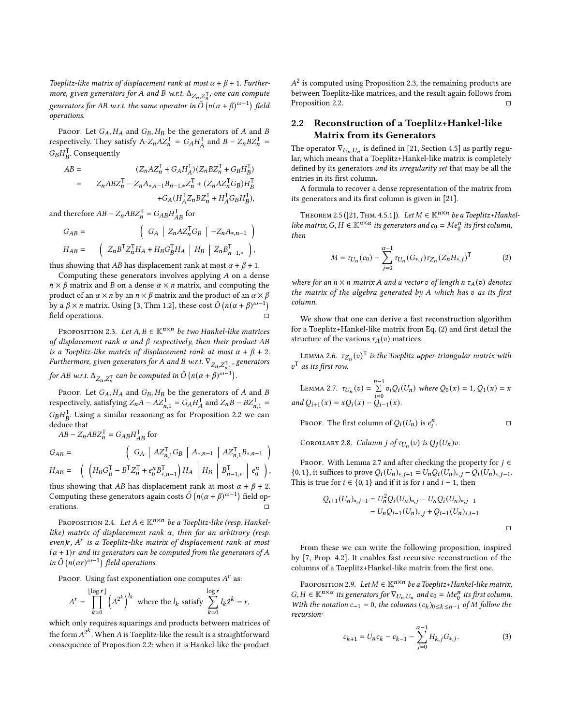Toeplitz-like matrix of displacement rank at most  $\alpha + \beta + 1$ . Furthermore, given generators for A and B w.r.t.  $\Delta_{Z_n, Z_n^T}$ , one can compute generators for AB w.r.t. the same operator in  $\tilde{O}(n(\alpha + \beta)^{\omega-1})$  field operations.

PROOF. Let  $G_A$ ,  $H_A$  and  $G_B$ ,  $H_B$  be the generators of  $A$  and  $B$ respectively. They satisfy A- $Z_n A Z_n^T = G_A H_A^T$  and  $B - Z_n B Z_n^T =$  $G_B H_B^{\mathsf{T}}$ . Consequently

$$
AB = (Z_n A Z_n^{\mathsf{T}} + G_A H_A^{\mathsf{T}})(Z_n B Z_n^{\mathsf{T}} + G_B H_B^{\mathsf{T}})
$$
  
= 
$$
Z_n A B Z_n^{\mathsf{T}} - Z_n A_{*,n-1} B_{n-1,*} Z_n^{\mathsf{T}} + (Z_n A Z_n^{\mathsf{T}} G_B) H_B^{\mathsf{T}}
$$

$$
+ G_A (H_A^{\mathsf{T}} Z_n B Z_n^{\mathsf{T}} + H_A^{\mathsf{T}} G_B H_B^{\mathsf{T}}),
$$

and therefore  $AB - Z_n A B Z_n^{\mathsf{T}} = G_{AB} H_{AB}^{\mathsf{T}}$  for

$$
G_{AB} = \left( G_A \mid Z_n A Z_n^{\mathsf{T}} G_B \mid -Z_n A_{*,n-1} \right)
$$
  

$$
H_{AB} = \left( Z_n B^{\mathsf{T}} Z_n^{\mathsf{T}} H_A + H_B G_B^{\mathsf{T}} H_A \mid H_B \mid Z_n B_{n-1,*}^{\mathsf{T}} \right),
$$

thus showing that AB has displacement rank at most  $\alpha + \beta + 1$ .

Computing these generators involves applying  $A$  on a dense  $n \times \beta$  matrix and B on a dense  $\alpha \times n$  matrix, and computing the product of an  $\alpha \times n$  by an  $n \times \beta$  matrix and the product of an  $\alpha \times \beta$ by a  $\beta \times n$  matrix. Using [\[3,](#page-7-9) Thm 1.2], these cost  $\tilde{O}$   $(n(\alpha + \beta)^{\omega-1})$ field operations. □

<span id="page-2-0"></span>PROPOSITION 2.3. Let  $A, B \in \mathbb{K}^{n \times n}$  be two Hankel-like matrices of displacement rank  $\alpha$  and  $\beta$  respectively, then their product AB is a Toeplitz-like matrix of displacement rank at most  $\alpha + \beta + 2$ . Furthermore, given generators for A and B w.r.t.  $\nabla_{Z_n,Z_{n,1}^\mathsf{T}}$  , generators for AB w.r.t.  $\Delta_{Z_n, Z_n^{\mathsf{T}}}$  can be computed in  $\tilde{O}(n(\alpha + \beta)^{\omega - 1})$ .

PROOF. Let  $G_A$ ,  $H_A$  and  $G_B$ ,  $H_B$  be the generators of  $A$  and  $B$ respectively, satisfying  $Z_n A - AZ_{n,1}^T = G_A H_A^T$  and  $Z_n B - B Z_{n,1}^T =$  $G_B H_B^{\mathsf{T}}$ . Using a similar reasoning as for Proposition [2.2](#page-1-1) we can deduce that

$$
AB - Z_n A B Z_n^{\mathsf{T}} = G_{AB} H_{AB}^{\mathsf{T}}
$$
 for

$$
G_{AB} = \left( G_A | A Z_{n,1}^{\mathsf{T}} G_B | A_{*,n-1} | A Z_{n,1}^{\mathsf{T}} B_{*,n-1} \right)
$$
  

$$
H_{AB} = \left( \left( H_B G_B^{\mathsf{T}} - B^{\mathsf{T}} Z_n^{\mathsf{T}} + e_0^n B_{*,n-1}^{\mathsf{T}} \right) H_A | H_B | B_{n-1,*}^{\mathsf{T}} | e_0^n \right),
$$

thus showing that AB has displacement rank at most  $\alpha + \beta + 2$ . Computing these generators again costs  $\tilde{O}(n(\alpha + \beta)^{\omega-1})$  field operations.

<span id="page-2-7"></span>Proposition 2.4. Let  $A \in \mathbb{K}^{n \times n}$  be a Toeplitz-like (resp. Hankellike) matrix of displacement rank  $\alpha$ , then for an arbitrary (resp. even)r, A<sup>r</sup> is a Toeplitz-like matrix of displacement rank at most  $(\alpha + 1)r$  and its generators can be computed from the generators of A in  $\tilde{O}(n(\alpha r)^{\omega-1})$  field operations.

Proof. Using fast exponentiation one computes  $A^r$  as:

$$
Ar = \prod_{k=0}^{\lfloor \log r \rfloor} \left( A^{2^k} \right)^{l_k}
$$
 where the  $l_k$  satisfy  $\sum_{k=0}^{\log r} l_k 2^k = r$ ,

which only requires squarings and products between matrices of the form  $A^{2^k}$ . When A is Toeplitz-like the result is a straightforward consequence of Proposition [2.2;](#page-1-1) when it is Hankel-like the product

 $A^2$  is computed using Proposition [2.3,](#page-2-0) the remaining products are between Toeplitz-like matrices, and the result again follows from Proposition [2.2.](#page-1-1) □

# <span id="page-2-8"></span>2.2 Reconstruction of a Toeplitz+Hankel-like Matrix from its Generators

The operator  $\nabla_{U_n,U_n}$  is defined in [\[21,](#page-7-8) Section 4.5] as partly regular, which means that a Toeplitz+Hankel-like matrix is completely defined by its generators and its irregularity set that may be all the entries in its first column.

A formula to recover a dense representation of the matrix from its generators and its first column is given in [\[21\]](#page-7-8).

THEOREM 2.5 ([\[21,](#page-7-8) THM. 4.5.1]). Let  $M \in \mathbb{K}^{n \times n}$  be a Toeplitz+Hankellike matrix,  $G, H \in \mathbb{K}^{n \times \alpha}$  its generators and  $c_0 = Me_0^n$  its first column, then

<span id="page-2-1"></span>
$$
M = \tau_{U_n}(c_0) - \sum_{j=0}^{\alpha-1} \tau_{U_n}(G_{*,j}) \tau_{Z_n}(Z_n H_{*,j})^{\mathsf{T}}
$$
 (2)

where for an  $n \times n$  matrix A and a vector v of length  $n \tau_A(v)$  denotes the matrix of the algebra generated by  $A$  which has  $v$  as its first column.

We show that one can derive a fast reconstruction algorithm for a Toeplitz+Hankel-like matrix from Eq. [\(2\)](#page-2-1) and first detail the structure of the various  $\tau_A(v)$  matrices.

<span id="page-2-4"></span>L $\epsilon$ мм $\Delta$  2.6.  $\tau_{Z_n}(v)^{\sf T}$  is the Toeplitz upper-triangular matrix with  $v^{\mathsf{T}}$  as its first row.

<span id="page-2-2"></span>LEMMA 2.7. 
$$
\tau_{U_n}(v) = \sum_{i=0}^{n-1} v_i Q_i(U_n)
$$
 where  $Q_0(x) = 1$ ,  $Q_1(x) = x$   
and  $Q_{i+1}(x) = x Q_i(x) - Q_{i-1}(x)$ .

Proof. The first column of  $Q_i(U_n)$  is  $e_i^n$ . □

<span id="page-2-5"></span>COROLLARY 2.8. Column j of  $\tau_{U_n}(v)$  is  $Q_j(U_n)v$ .

PROOF. With Lemma [2.7](#page-2-2) and after checking the property for  $j \in$ {0, 1}, it suffices to prove  $Q_i(U_n)_{*,i+1} = U_n Q_i(U_n)_{*,i} - Q_i(U_n)_{*,i-1}$ . This is true for  $i \in \{0, 1\}$  and if it is for  $i$  and  $i - 1$ , then

$$
Q_{i+1}(U_n)_{*,j+1} = U_n^2 Q_i(U_n)_{*,j} - U_n Q_i(U_n)_{*,j-1}
$$
  
-  $U_n Q_{i-1}(U_n)_{*,j} + Q_{i-1}(U_n)_{*,i-1}$ 

<span id="page-2-6"></span>□

From these we can write the following proposition, inspired by [\[7,](#page-7-14) Prop. 4.2]. It enables fast recursive reconstruction of the columns of a Toeplitz+Hankel-like matrix from the first one.

<span id="page-2-3"></span>Proposition 2.9. Let  $M \in \mathbb{K}^{n \times n}$  be a Toeplitz+Hankel-like matrix,  $G, H \in \mathbb{K}^{n \times \alpha}$  its generators for  $\nabla_{U_n, U_n}$  and  $c_0 = Me_0^n$  its first column. With the notation  $c_{-1} = 0$ , the columns  $(c_k)_{0 \le k \le n-1}$  of M follow the recursion:

$$
c_{k+1} = U_n c_k - c_{k-1} - \sum_{j=0}^{\alpha-1} H_{k,j} G_{*,j}.
$$
 (3)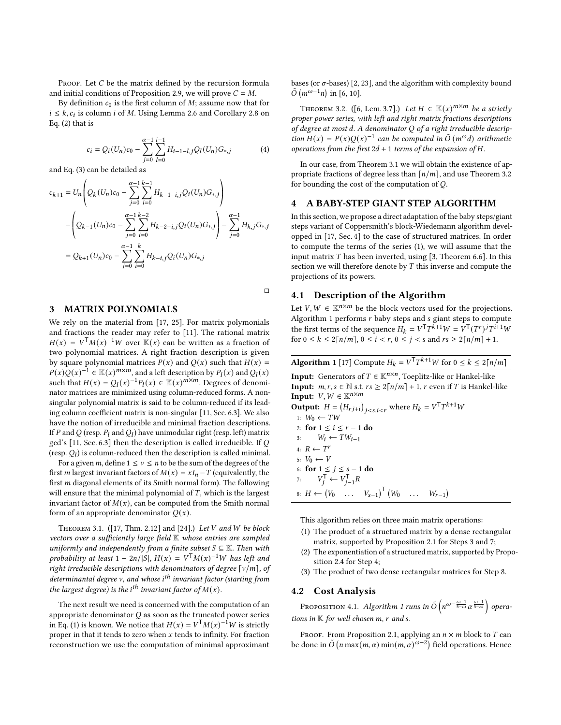PROOF. Let  $C$  be the matrix defined by the recursion formula and initial conditions of Proposition [2.9,](#page-2-3) we will prove  $C = M$ .

By definition  $c_0$  is the first column of M; assume now that for  $i \leq k$ ,  $c_i$  is column *i* of *M*. Using Lemma [2.6](#page-2-4) and Corollary [2.8](#page-2-5) on Eq. [\(2\)](#page-2-1) that is

$$
c_i = Q_i(U_n)c_0 - \sum_{j=0}^{\alpha-1}\sum_{l=0}^{i-1}H_{i-1-l,j}Q_l(U_n)G_{*,j} \qquad \qquad (4)
$$

and Eq. [\(3\)](#page-2-6) can be detailed as

$$
c_{k+1} = U_n \left( Q_k(U_n)c_0 - \sum_{j=0}^{\alpha-1} \sum_{i=0}^{k-1} H_{k-1-i,j} Q_i(U_n) G_{*,j} \right)
$$
  

$$
- \left( Q_{k-1}(U_n)c_0 - \sum_{j=0}^{\alpha-1} \sum_{i=0}^{k-2} H_{k-2-i,j} Q_i(U_n) G_{*,j} \right) - \sum_{j=0}^{\alpha-1} H_{k,j} G_{*,j}
$$
  

$$
= Q_{k+1}(U_n)c_0 - \sum_{j=0}^{\alpha-1} \sum_{i=0}^k H_{k-i,j} Q_i(U_n) G_{*,j}
$$

□

# <span id="page-3-0"></span>3 MATRIX POLYNOMIALS

We rely on the material from [\[17,](#page-7-0) [25\]](#page-7-1). For matrix polymonials and fractions the reader may refer to [\[11\]](#page-7-15). The rational matrix  $H(x) = V^{T}M(x)^{-1}W$  over  $\mathbb{K}(x)$  can be written as a fraction of two polynomial matrices. A right fraction description is given by square polynomial matrices  $P(x)$  and  $Q(x)$  such that  $H(x) =$  $P(x)Q(x)^{-1} \in K(x)^{m \times m}$ , and a left description by  $P_l(x)$  and  $Q_l(x)$ such that  $H(x) = Q_l(x)^{-1} P_l(x) \in \mathbb{K}(x)^{m \times m}$ . Degrees of denominator matrices are minimized using column-reduced forms. A nonsingular polynomial matrix is said to be column-reduced if its leading column coefficient matrix is non-singular [\[11,](#page-7-15) Sec. 6.3]. We also have the notion of irreducible and minimal fraction descriptions. If  $P$  and  $Q$  (resp.  $P_l$  and  $Q_l$ ) have unimodular right (resp. left) matrix gcd's [\[11,](#page-7-15) Sec. 6.3] then the description is called irreducible. If  $Q$ (resp.  $Q_l$ ) is column-reduced then the description is called minimal.

For a given *m*, define  $1 \le v \le n$  to be the sum of the degrees of the first *m* largest invariant factors of  $M(x) = xI_n - T$  (equivalently, the first  *diagonal elements of its Smith normal form). The following* will ensure that the minimal polynomial of  $T$ , which is the largest invariant factor of  $M(x)$ , can be computed from the Smith normal form of an appropriate denominator  $Q(x)$ .

<span id="page-3-2"></span>THEOREM 3.1.  $([17, Thm. 2.12]$  $([17, Thm. 2.12]$  $([17, Thm. 2.12]$  and  $[24]$ .) Let V and W be block vectors over a sufficiently large field K whose entries are sampled uniformly and independently from a finite subset  $S \subseteq \mathbb{K}$ . Then with probability at least  $1 - 2n/|S|$ ,  $H(x) = V^{T}M(x)^{-1}W$  has left and right irreducible descriptions with denominators of degree  $\lceil v/m \rceil$ , of determinantal degree v, and whose i<sup>th</sup> invariant factor (starting from the largest degree) is the i<sup>th</sup> invariant factor of  $M(x)$ .

The next result we need is concerned with the computation of an appropriate denominator  $Q$  as soon as the truncated power series in Eq. [\(1\)](#page-1-0) is known. We notice that  $H(x) = V<sup>T</sup>M(x)<sup>-1</sup>W$  is strictly proper in that it tends to zero when  $x$  tends to infinity. For fraction reconstruction we use the computation of minimal approximant

bases (or  $\sigma$ -bases) [\[2,](#page-7-2) [23\]](#page-7-16), and the algorithm with complexity bound  $\tilde{O}(m^{\omega-1}n)$  in [\[6,](#page-7-3) [10\]](#page-7-17).

<span id="page-3-3"></span>THEOREM 3.2. ([\[6,](#page-7-3) Lem. 3.7].) Let  $H \in \mathbb{K}(x)^{m \times m}$  be a strictly proper power series, with left and right matrix fractions descriptions of degree at most d. A denominator  $Q$  of a right irreducible description  $H(x) = P(x)Q(x)^{-1}$  can be computed in  $\tilde{O}(m^{\omega}d)$  arithmetic operations from the first  $2d + 1$  terms of the expansion of H.

In our case, from Theorem [3.1](#page-3-2) we will obtain the existence of appropriate fractions of degree less than  $\lceil n/m \rceil$ , and use Theorem [3.2](#page-3-3) for bounding the cost of the computation of  $Q$ .

# <span id="page-3-1"></span>4 A BABY-STEP GIANT STEP ALGORITHM

In this section, we propose a direct adaptation of the baby steps/giant steps variant of Coppersmith's block-Wiedemann algorithm developped in [\[17,](#page-7-0) Sec. 4] to the case of structured matrices. In order to compute the terms of the series [\(1\)](#page-1-0), we will assume that the input matrix  $T$  has been inverted, using [\[3,](#page-7-9) Theorem 6.6]. In this section we will therefore denote by  $T$  this inverse and compute the projections of its powers.

# 4.1 Description of the Algorithm

Let  $V, W \in \mathbb{K}^{n \times m}$  be the block vectors used for the projections. Algorithm [1](#page-3-4) performs  $r$  baby steps and  $s$  giant steps to compute the first terms of the sequence  $H_k = V^T T^{k+1} W = V^T (T^r)^j T^{i+1} W$ for  $0 \le k \le 2\lceil n/m \rceil, 0 \le i < r, 0 \le j < s$  and  $rs \ge 2\lceil n/m \rceil + 1$ .

<span id="page-3-11"></span><span id="page-3-10"></span><span id="page-3-5"></span><span id="page-3-4"></span>

| <b>Algorithm 1</b> [17] Compute $H_k = V^T T^{k+1} W$ for $0 \le k \le 2\lceil n/m \rceil$                |
|-----------------------------------------------------------------------------------------------------------|
| <b>Input:</b> Generators of $T \in \mathbb{K}^{n \times n}$ , Toeplitz-like or Hankel-like                |
| <b>Input:</b> $m, r, s \in \mathbb{N}$ s.t. $rs \geq 2\lceil n/m \rceil + 1$ , r even if T is Hankel-like |
| Input: $V, W \in \mathbb{K}^{n \times m}$                                                                 |
| <b>Output:</b> $H = (H_{r,j+i})_{i < s, i < r}$ where $H_k = V^{\mathsf{T}} T^{k+1} W$                    |
| 1: $W_0 \leftarrow TW$                                                                                    |
| 2: for $1 \leq i \leq r-1$ do                                                                             |
| 3: $W_i \leftarrow TW_{i-1}$                                                                              |
| 4: $R \leftarrow T^r$                                                                                     |
| 5: $V_0 \leftarrow V$                                                                                     |
| 6: for $1 \le i \le s - 1$ do                                                                             |
| 7: $V_i^{\text{T}} \leftarrow V_{i-1}^{\text{T}} R$                                                       |
| 8: $H \leftarrow (V_0 \quad \dots \quad V_{s-1})^{\top} (W_0 \quad \dots \quad W_{r-1})$                  |

<span id="page-3-13"></span><span id="page-3-12"></span><span id="page-3-8"></span><span id="page-3-7"></span><span id="page-3-6"></span>This algorithm relies on three main matrix operations:

- (1) The product of a structured matrix by a dense rectangular matrix, supported by Proposition [2.1](#page-1-2) for Steps [3](#page-3-5) and [7;](#page-3-6)
- (2) The exponentiation of a structured matrix, supported by Proposition [2.4](#page-2-7) for Step [4;](#page-3-7)
- (3) The product of two dense rectangular matrices for Step [8.](#page-3-8)

# 4.2 Cost Analysis

<span id="page-3-9"></span>Proposition 4.1. Algorithm [1](#page-3-4) runs in  $\tilde{O}\left(n^{\omega-\frac{\omega-1}{5-\omega}}\alpha^{\frac{\omega-1}{5-\omega}}\right)$  operations in  $K$  for well chosen  $m$ ,  $r$  and s.

PROOF. From Proposition [2.1,](#page-1-2) applying an  $n \times m$  block to  $T$  can be done in  $\tilde{O}$  (*n* max(*m*,  $\alpha$ ) min(*m*,  $\alpha$ )<sup> $\omega$ -2) field operations. Hence</sup>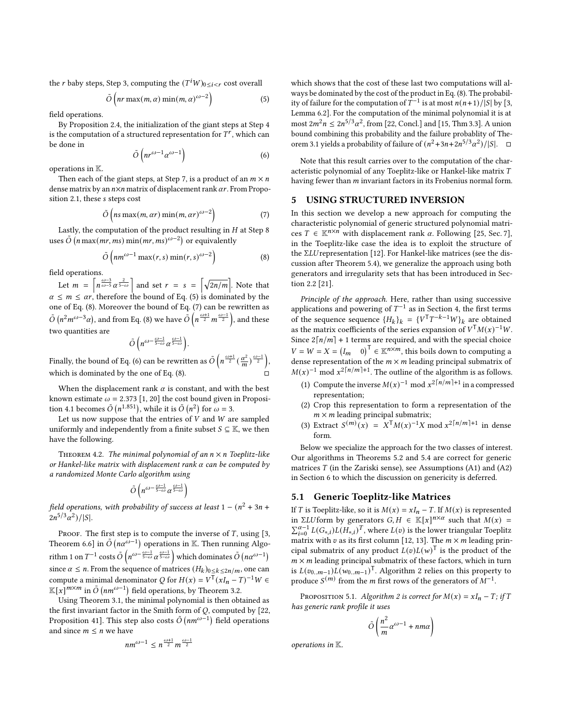the *r* baby steps, Step [3,](#page-3-5) computing the  $(T^iW)_{0 \le i < r}$  cost overall

<span id="page-4-1"></span>
$$
\tilde{O}\left(nr\max(m,\alpha)\min(m,\alpha)^{\omega-2}\right) \tag{5}
$$

field operations.

By Proposition [2.4,](#page-2-7) the initialization of the giant steps at Step [4](#page-3-7) is the computation of a structured representation for  $T^r$ , which can be done in

<span id="page-4-4"></span>
$$
\tilde{O}\left(nr^{\omega-1}\alpha^{\omega-1}\right) \tag{6}
$$

operations in K.

Then each of the giant steps, at Step [7,](#page-3-6) is a product of an  $m \times n$ dense matrix by an  $n \times n$  matrix of displacement rank  $\alpha r$ . From Propo-sition [2.1,](#page-1-2) these *s* steps cost

<span id="page-4-3"></span>
$$
\tilde{O}\left(ns \max(m, \alpha r) \min(m, \alpha r)^{\omega - 2}\right) \tag{7}
$$

Lastly, the computation of the product resulting in  $H$  at Step [8](#page-3-8) uses  $\tilde{O}$  (*n* max(*mr*, *ms*) min(*mr*, *ms*)<sup> $\omega$ -2) or equivalently</sup>

<span id="page-4-2"></span>
$$
\tilde{O}\left(n m^{\omega - 1} \max(r, s) \min(r, s)^{\omega - 2}\right) \tag{8}
$$

field operations.

Let  $m = \left[ n^{\frac{\omega-3}{\omega-5}} \alpha^{\frac{2}{5-\omega}} \right]$  and set  $r = s = \left[ \sqrt{2n/m} \right]$ . Note that  $\alpha \leq m \leq \alpha r$ , therefore the bound of Eq. [\(5\)](#page-4-1) is dominated by the one of Eq. [\(8\)](#page-4-2). Moreover the bound of Eq. [\(7\)](#page-4-3) can be rewritten as  $\tilde{O}(n^2m^{\omega-3}\alpha)$ , and from Eq. [\(8\)](#page-4-2) we have  $\tilde{O}(n^{\frac{\omega+1}{2}}m^{\frac{\omega-1}{2}})$ , and these two quantities are

$$
\tilde{O}\left(n^{\omega-\frac{\omega-1}{5-\omega}}\alpha^{\frac{\omega-1}{5-\omega}}\right).
$$

Finally, the bound of Eq. [\(6\)](#page-4-4) can be rewritten as  $\tilde{O}\left(n^{\frac{\omega+1}{2}}(\frac{\alpha^2}{m})^{\frac{\omega-1}{2}}\right)$ , which is dominated by the one of Eq.  $(8)$ .

When the displacement rank  $\alpha$  is constant, and with the best known estimate  $\omega = 2.373$  [\[1,](#page-7-18) [20\]](#page-7-19) the cost bound given in Proposi-tion [4.1](#page-3-9) becomes  $\tilde{O}(n^{1.851})$ , while it is  $\tilde{O}(n^2)$  for  $\omega = 3$ .

Let us now suppose that the entries of  $V$  and  $W$  are sampled uniformly and independently from a finite subset  $S \subseteq \mathbb{K}$  , we then have the following.

THEOREM 4.2. The minimal polynomial of an  $n \times n$  Toeplitz-like or Hankel-like matrix with displacement rank  $\alpha$  can be computed by a randomized Monte Carlo algorithm using

$$
\tilde{O}\left(n^{\omega-\frac{\omega-1}{5-\omega}}\alpha^{\frac{\omega-1}{5-\omega}}\right)
$$

field operations, with probability of success at least  $1 - (n^2 + 3n +$  $2n^{5/3} \alpha^2)/|S|.$ 

PROOF. The first step is to compute the inverse of  $T$ , using [\[3,](#page-7-9) Theorem 6.6] in  $\tilde{O}(n\alpha^{\omega-1})$  operations in K. Then running Algo-rithm [1](#page-3-4) on  $T^{-1}$  costs  $\tilde{O}\left(n^{\omega-\frac{\omega-1}{5-\omega}}\alpha^{\frac{\omega-1}{5-\omega}}\right)$  which dominates  $\tilde{O}\left(n\alpha^{\omega-1}\right)$ since  $\alpha \leq n$ . From the sequence of matrices  $(H_k)_{0 \leq k \leq 2n/m}$ , one can compute a minimal denominator Q for  $H(x) = V^{\mathsf{T}}(xI_n - T)^{-1}W$  $\mathbb{K}[x]^{m \times m}$  in  $\tilde{O}(nm^{\omega-1})$  field operations, by Theorem [3.2.](#page-3-3)

Using Theorem [3.1,](#page-3-2) the minimal polynomial is then obtained as the first invariant factor in the Smith form of  $Q$ , computed by [\[22,](#page-7-20) Proposition 41]. This step also costs  $\tilde{O}(nm^{\omega-1})$  field operations and since  $m \leq n$  we have

$$
nm^{\omega-1}\leq n^{\frac{\omega+1}{2}}m^{\frac{\omega-1}{2}}
$$

which shows that the cost of these last two computations will always be dominated by the cost of the product in Eq. [\(8\)](#page-4-2). The probability of failure for the computation of  $T^{-1}$  is at most  $n(n+1)/|S|$  by [\[3,](#page-7-9) Lemma 6.2]. For the computation of the minimal polynomial it is at most  $2m^2n \leq 2n^{5/3}\alpha^2$ , from [\[22,](#page-7-20) Concl.] and [\[15,](#page-7-21) Thm 3.3]. A union bound combining this probability and the failure probablity of The-orem [3.1](#page-3-2) yields a probability of failure of  $(n^2 + 3n + 2n^{5/3}\alpha^2)/|S|$ .  $\Box$ 

Note that this result carries over to the computation of the characteristic polynomial of any Toeplitz-like or Hankel-like matrix  $T$ having fewer than  $m$  invariant factors in its Frobenius normal form.

### <span id="page-4-0"></span>5 USING STRUCTURED INVERSION

In this section we develop a new approach for computing the characteristic polynomial of generic structured polynomial matrices  $T \in \mathbb{K}^{n \times n}$  with displacement rank  $\alpha$ . Following [\[25,](#page-7-1) Sec. 7], in the Toeplitz-like case the idea is to exploit the structure of the  $\Sigma LU$  representation [\[12\]](#page-7-12). For Hankel-like matrices (see the discussion after Theorem [5.4\)](#page-6-0), we generalize the approach using both generators and irregularity sets that has been introduced in Section [2.2](#page-2-8) [\[21\]](#page-7-8).

Principle of the approach. Here, rather than using successive applications and powering of  $T^{-1}$  as in Section [4,](#page-3-1) the first terms of the sequence sequence  ${H_k}_k = {V^T}T^{-k-1}W_k$  are obtained as the matrix coefficients of the series expansion of  $V^{\mathsf{T}}M(x)^{-1}W$ . Since  $2\lceil n/m \rceil + 1$  terms are required, and with the special choice  $V = W = X = (I_m \ 0)^{\mathsf{T}} \in \mathbb{K}^{n \times m}$ , this boils down to computing a dense representation of the  $m \times m$  leading principal submatrix of  $M(x)^{-1}$  mod  $x^{2\lceil n/m \rceil+1}$ . The outline of the algorithm is as follows.

- (1) Compute the inverse  $M(x)^{-1} \text{ mod } x^{2\lceil n/m \rceil+1}$  in a compressed representation;
- (2) Crop this representation to form a representation of the  $m \times m$  leading principal submatrix;
- (3) Extract  $S^{(m)}(x) = X^{T}M(x)^{-1}X \text{ mod } x^{2\lceil n/m \rceil+1}$  in dense form.

Below we specialize the approach for the two classes of interest. Our algorithms in Theorems [5.2](#page-5-0) and [5.4](#page-6-0) are correct for generic matrices  $T$  (in the Zariski sense), see Assumptions (A1) and (A2) in Section [6](#page-6-1) to which the discussion on genericity is deferred.

# <span id="page-4-6"></span>5.1 Generic Toeplitz-like Matrices

If T is Toeplitz-like, so it is  $M(x) = xI_n - T$ . If  $M(x)$  is represented in ΣLU form by generators  $G, H \in \mathbb{K}[x]^{n \times \alpha}$  such that  $M(x) =$  $\sum_{i=0}^{\alpha-1} L(G_{*,i}) L(H_{*,i})^T$ , where  $L(v)$  is the lower triangular Toeplitz matrix with v as its first column [\[12,](#page-7-12) [13\]](#page-7-22). The  $m \times m$  leading principal submatrix of any product  $L(v)L(w)^{\mathsf{T}}$  is the product of the  $m \times m$  leading principal submatrix of these factors, which in turn is  $L(v_{0..m-1})L(w_{0..m-1})^{\mathsf{T}}$ . Algorithm [2](#page-5-1) relies on this property to produce  $S^{(m)}$  from the *m* first rows of the generators of  $M^{-1}$ .

<span id="page-4-5"></span>PROPOSITION 5.1. Algorithm [2](#page-5-1) is correct for  $M(x) = xI_n - T$ ; if T has generic rank profile it uses

$$
\tilde{O}\left(\frac{n^2}{m}\alpha^{\omega-1}+nm\alpha\right)
$$

operations in K.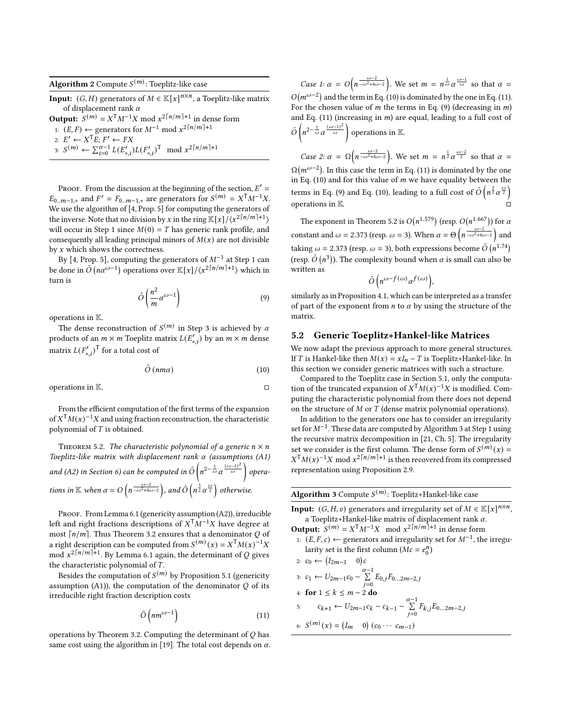<span id="page-5-1"></span>

| <b>Algorithm 2</b> Compute $S^{(m)}$ : Toeplitz-like case                                                          |
|--------------------------------------------------------------------------------------------------------------------|
| <b>Input:</b> $(G, H)$ generators of $M \in \mathbb{K}[x]^{n \times n}$ , a Toeplitz-like matrix                   |
| of displacement rank $\alpha$                                                                                      |
| <b>Output:</b> $S^{(m)} = X^{T}M^{-1}X \text{ mod } x^{2\lceil n/m \rceil+1}$ in dense form                        |
| 1: $(E, F)$ ← generators for $M^{-1}$ mod $x^{2\lceil n/m \rceil + 1}$                                             |
| 2: $E' \leftarrow X^{\mathsf{T}} E; F' \leftarrow FX$                                                              |
| 3: $S^{(m)} \leftarrow \sum_{i=0}^{\alpha-1} L(E'_{*,i}) L(F'_{*,i})^{\mathsf{T}} \mod x^{2\lceil n/m \rceil + 1}$ |

PROOF. From the discussion at the beginning of the section,  $E' =$  $E_{0..m-1,*}$  and  $F' = F_{0..m-1,*}$  are generators for  $S^{(m)} = X^{T} M^{-1} X$ . We use the algorithm of [\[4,](#page-7-10) Prop. 5] for computing the generators of the inverse. Note that no division by x in the ring  $\mathbb{K}[x]/\langle x^{2[n/m]+1}\rangle$ 

will occur in Step [1](#page-3-10) since  $M(0) = T$  has generic rank profile, and consequently all leading principal minors of  $M(x)$  are not divisible by  $x$  which shows the correctness.

By [\[4,](#page-7-10) Prop. 5], computing the generators of  $M^{-1}$  at Step [1](#page-3-10) can be done in  $\tilde{O}(n\alpha^{\omega-1})$  operations over  $\mathbb{K}[x]/\langle x^{2[n/m]+1}\rangle$  which in turn is

<span id="page-5-4"></span>
$$
\tilde{O}\left(\frac{n^2}{m}\alpha^{\omega-1}\right) \tag{9}
$$

operations in K.

The dense reconstruction of  $S^{(m)}$  in Step [3](#page-3-5) is achieved by  $\alpha$ products of an  $m \times m$  Toeplitz matrix  $L(E_{*,i}')$  by an  $m \times m$  dense matrix  $L(F'_{*,i})^{\mathsf{T}}$  for a total cost of

<span id="page-5-2"></span>
$$
\tilde{O}(nm\alpha) \tag{10}
$$

operations in  $K$ .  $\Box$ 

From the efficient computation of the first terms of the expansion of  $X^{\mathsf{T}}M(x)^{-1}X$  and using fraction reconstruction, the characteristic polynomial of  $T$  is obtained.

<span id="page-5-0"></span>THEOREM 5.2. The characteristic polynomial of a generic  $n \times n$ Toeplitz-like matrix with displacement rank  $\alpha$  (assumptions (A1) and (A2) in Section [6\)](#page-6-1) can be computed in  $\tilde{O}$   $\left(n^{2-\frac{1}{\omega}}\alpha^{\frac{(\omega-1)^2}{\omega}}\right)$  $\left(\frac{(-1)^2}{\omega}\right)$  operations in  $\mathbb K$  when  $\alpha = O\left(n^{\frac{Q-2}{-\omega^2+4\omega-2}}\right)$ , and  $\tilde O\left(n^{\frac{3}{2}}\alpha^{\frac{\omega}{2}}\right)$  otherwise.

PROOF. From Lemma [6.1](#page-6-2) (genericity assumption (A2)), irreducible left and right fractions descriptions of  $X^T M^{-1} X$  have degree at most  $\lceil n/m \rceil$ . Thus Theorem [3.2](#page-3-3) ensures that a denominator Q of a right description can be computed from  $S^{(m)}(x) = X^{T}M(x)^{-1}X$ mod  $x^{2\lceil n/m \rceil+1}$ . By Lemma [6.1](#page-6-2) again, the determinant of O gives the characteristic polynomial of  $T$ .

Besides the computation of  $S^{(m)}$  by Proposition [5.1](#page-4-5) (genericity assumption (A1)), the computation of the denominator  $Q$  of its irreducible right fraction description costs

<span id="page-5-3"></span>
$$
\tilde{O}\left(n m^{\omega - 1}\right) \tag{11}
$$

operations by Theorem [3.2.](#page-3-3) Computing the determinant of  $Q$  has same cost using the algorithm in [\[19\]](#page-7-23). The total cost depends on  $\alpha$ .

*Case 1:*  $\alpha = O(n^{-\frac{\omega^2}{\omega^2+4\omega^2}})$ . We set  $m = n^{\frac{1}{\omega}}\alpha^{\frac{\omega-1}{\omega}}$  so that  $\alpha =$  $O(m^{\omega-2})$  and the term in Eq. [\(10\)](#page-5-2) is dominated by the one in Eq. [\(11\)](#page-5-3). For the chosen value of  $m$  the terms in Eq. [\(9\)](#page-5-4) (decreasing in  $m$ ) and Eq. [\(11\)](#page-5-3) (increasing in  $m$ ) are equal, leading to a full cost of  $\tilde{O}\left(n^{2-\frac{1}{\omega}}\alpha^{\frac{(\omega-1)^2}{\omega}}\right)$  $\left(\frac{(-1)^2}{\omega}\right)$  operations in K.

*Case 2:*  $\alpha = \Omega\left(n^{\frac{\omega-2}{-\omega^2+4\omega-2}}\right)$ . We set  $m = n^{\frac{1}{2}}\alpha^{\frac{\omega-2}{2}}$  so that  $\alpha =$  $\Omega(m^{\omega-2})$ . In this case the term in Eq. [\(11\)](#page-5-3) is dominated by the one in Eq. [\(10\)](#page-5-2) and for this value of  $m$  we have equality between the terms in Eq. [\(9\)](#page-5-4) and Eq. [\(10\)](#page-5-2), leading to a full cost of  $\tilde{O} \left( n^{\frac{3}{2}} \alpha^{\frac{\omega}{2}} \right)$ operations in  $\mathbb K$ 

The exponent in Theorem [5.2](#page-5-0) is  $O(n^{1.579})$  (resp.  $O(n^{1.667})$ ) for  $\alpha$ constant and  $\omega = 2.373$  (resp.  $\omega = 3$ ). When  $\alpha = \Theta \left( n \frac{\omega - 2}{\omega^2 + 4\omega - 2} \right)$  and taking  $\omega = 2.373$  (resp.  $\omega = 3$ ), both expressions become  $\tilde{O}(n^{1.74})$ (resp.  $\tilde{O}(n^3)$ ). The complexity bound when  $\alpha$  is small can also be written as

$$
\tilde{O}\left(n^{\omega-f(\omega)}\alpha^{f(\omega)}\right),\,
$$

similarly as in Proposition [4.1,](#page-3-9) which can be interpreted as a transfer of part of the exponent from  $n$  to  $\alpha$  by using the structure of the matrix.

# 5.2 Generic Toeplitz+Hankel-like Matrices

We now adapt the previous approach to more general structures. If T is Hankel-like then  $M(x) = xI_n - T$  is Toeplitz+Hankel-like. In this section we consider generic matrices with such a structure.

Compared to the Toeplitz case in Section [5.1,](#page-4-6) only the computation of the truncated expansion of  $X^{\mathsf{T}}M(x)^{-1}X$  is modified. Computing the characteristic polynomial from there does not depend on the structure of  $M$  or  $T$  (dense matrix polynomial operations).

In addition to the generators one has to consider an irregularity set for  $M^{-1}$ . These data are computed by Algorithm [3](#page-5-5) at Step [1](#page-3-10) using the recursive matrix decomposition in [\[21,](#page-7-8) Ch. 5]. The irregularity set we consider is the first column. The dense form of  $S^{(m)}(x)$  =  $X^{\mathsf{T}}M(x)^{-1}X \mod x^{2\lceil n/m \rceil+1}$  is then recovered from its compressed representation using Proposition [2.9.](#page-2-3)

: Toeplitz+Hankel-like case

 $\frac{1}{2}$   $\frac{1}{2}$   $\frac{1}{2}$   $\frac{1}{2}$   $\frac{1}{2}$   $\frac{1}{2}$   $\frac{1}{2}$   $\frac{1}{2}$   $\frac{1}{2}$   $\frac{1}{2}$   $\frac{1}{2}$   $\frac{1}{2}$   $\frac{1}{2}$   $\frac{1}{2}$   $\frac{1}{2}$   $\frac{1}{2}$   $\frac{1}{2}$   $\frac{1}{2}$   $\frac{1}{2}$   $\frac{1}{2}$   $\frac{1}{2}$   $\frac{1}{2}$ 

<span id="page-5-5"></span>

| <b>Algorithm 3</b> Compute $S^{(m)}$ : Toeplitz+Hankel-like case                                                                                                   |
|--------------------------------------------------------------------------------------------------------------------------------------------------------------------|
| <b>Input:</b> $(G, H, v)$ generators and irregularity set of $M \in \mathbb{K}[x]^{n \times n}$ ,<br>a Toeplitz+Hankel-like matrix of displacement rank $\alpha$ . |
| <b>Output:</b> $S^{(m)} = X^{T}M^{-1}X$ mod $x^{2\lceil n/m \rceil+1}$ in dense form                                                                               |
| 1: ( <i>E</i> , <i>F</i> , <i>c</i> ) ← generators and irregularity set for $M^{-1}$ , the irregu-                                                                 |
| larity set is the first column ( $Mc = e_0^n$ )                                                                                                                    |
| 2: $c_0$ ← $(I_{2m-1} \ 0)c$                                                                                                                                       |
| $\alpha$ -1<br>3: $c_1 \leftarrow U_{2m-1}c_0 - \sum_{j=0}^{N} E_{0,j}F_{02m-2,j}$                                                                                 |
| 4: for $1 \leq k \leq m-2$ do                                                                                                                                      |
| $\alpha$ -1<br>$c_{k+1} \leftarrow U_{2m-1}c_k - c_{k-1} - \sum_{i=0} F_{k,j}E_{02m-2,j}$<br>5:                                                                    |
| 6: $S^{(m)}(x) = (I_m \ 0) (c_0 \cdots c_{m-1})$                                                                                                                   |
|                                                                                                                                                                    |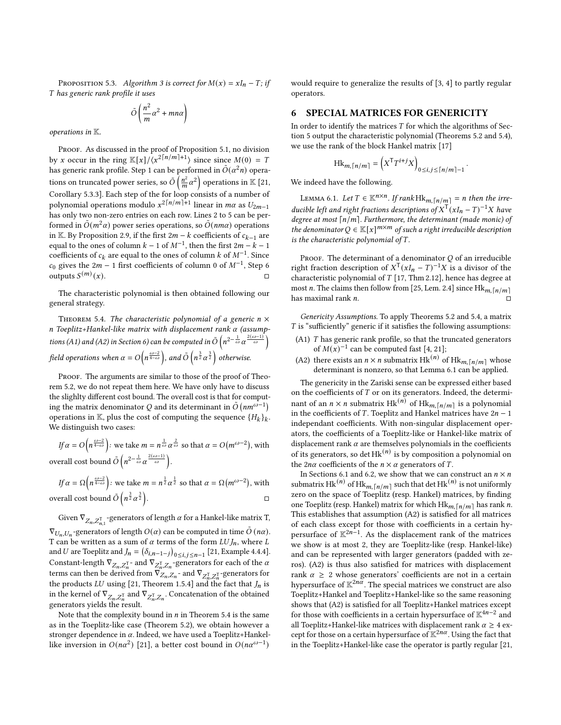PROPOSITION 5.3. Algorithm [3](#page-5-5) is correct for  $M(x) = xI_n - T$ ; if has generic rank profile it uses

$$
\tilde{O}\left(\frac{n^2}{m}\alpha^2 + mn\alpha\right)
$$

operations in K.

PROOF. As discussed in the proof of Proposition [5.1,](#page-4-5) no division by x occur in the ring  $\mathbb{K}[x]/\langle x^{2[n/m]+1}\rangle$  since since  $M(0) = T$ has generic rank profile. Step [1](#page-3-10) can be performed in  $\tilde{O}(\alpha^2 n)$  operations on truncated power series, so  $\tilde{O}\left(\frac{n^2}{m}\alpha^2\right)$  operations in  $\mathbb{K}$  [\[21,](#page-7-8) Corollary 5.3.3]. Each step of the for loop consists of a number of polynomial operations modulo  $x^{2\lceil n/m \rceil+1}$  linear in  $m\alpha$  as  $U_{2m-1}$ has only two non-zero entries on each row. Lines [2](#page-3-11) to [5](#page-3-12) can be performed in  $\tilde{O}(m^2\alpha)$  power series operations, so  $\tilde{O}(nm\alpha)$  operations in K. By Proposition [2.9,](#page-2-3) if the first  $2m - k$  coefficients of  $c_{k-1}$  are equal to the ones of column  $k - 1$  of  $M^{-1}$ , then the first  $2m - k - 1$ coefficients of  $c_k$  are equal to the ones of column  $k$  of  $M^{-1}$ . Since  $c_0$  gives the 2m – 1 first coefficients of column 0 of  $M^{-1}$ , Step [6](#page-3-13) outputs  $S^{(m)}$  $(x).$ 

The characteristic polynomial is then obtained following our general strategy.

<span id="page-6-0"></span>THEOREM 5.4. The characteristic polynomial of a generic  $n \times$  $n$  Toeplitz+Hankel-like matrix with displacement rank  $\alpha$  (assump-tions (A1) and (A2) in Section [6\)](#page-6-1) can be computed in  $\tilde{O}\left(n^{2-\frac{1}{\omega}}\alpha^{\frac{2(\omega-1)}{\omega}}\right)$ field operations when  $\alpha = O\Big(n^{\frac{\omega-2}{4-\omega}}\Big)$ , and  $\tilde O\left(n^{\frac{3}{2}}\alpha^{\frac{3}{2}}\right)$  otherwise.

PROOF. The arguments are similar to those of the proof of Theorem [5.2,](#page-5-0) we do not repeat them here. We have only have to discuss the slighlty different cost bound. The overall cost is that for computing the matrix denominator Q and its determinant in  $\tilde{O}(n m^{\omega-1})$ operations in K, plus the cost of computing the sequence  $\{H_k\}_k$ . We distinguish two cases:

If  $\alpha = O\left(n^{\frac{\omega-2}{4-\omega}}\right)$ : we take  $m = n^{\frac{1}{\omega}}\alpha^{\frac{2}{\omega}}$  so that  $\alpha = O(m^{\omega-2})$ , with overall cost bound  $\tilde{O}\left(n^{2-\frac{1}{\omega}}\alpha^{\frac{2(\omega-1)}{\omega}}\right)$ .

If  $\alpha = \Omega\left(n^{\frac{\omega - 2}{4 - \omega}}\right)$ : we take  $m = n^{\frac{1}{2}}\alpha^{\frac{1}{2}}$  so that  $\alpha = \Omega(m^{\omega - 2})$ , with overall cost bound  $\tilde{O} \left( n^{\frac{3}{2}} \alpha^{\frac{3}{2}} \right)$ . □

Given  $\nabla_{Z_n, Z_{n,1}^\mathsf{T}}$  -generators of length  $\alpha$  for a Hankel-like matrix T,  $\nabla_{U_n,U_n}$ -generators of length  $O(\alpha)$  can be computed in time  $\tilde{O}(n\alpha)$ . T can be written as a sum of  $\alpha$  terms of the form  $LUJ_n$ , where  $L$ and U are Toeplitz and  $J_n = (\delta_{i,n-1-j})_{0 \le i,j \le n-1}$  [\[21,](#page-7-8) Example 4.4.4]. Constant-length  $\nabla_{Z_n, Z_n^T}$ - and  $\nabla_{Z_n^T, Z_n}$ -generators for each of the  $\alpha$ terms can then be derived from  $\overline{\nabla}_{Z_n,Z_n}^{\overline{n},-n}$  and  $\nabla_{Z_n^{\overline{n}},Z_n^{\overline{n}}}$ -generators for the products LU using [\[21,](#page-7-8) Theorem 1.5.4] and the fact that  $J_n$  is in the kernel of  $\nabla_{Z_n, Z_n^{\mathsf{T}}}$  and  $\nabla_{Z_n^{\mathsf{T}}, Z_n}$ . Concatenation of the obtained generators yields the result.

Note that the complexity bound in  $n$  in Theorem [5.4](#page-6-0) is the same as in the Toeplitz-like case (Theorem [5.2\)](#page-5-0), we obtain however a stronger dependence in  $\alpha$ . Indeed, we have used a Toeplitz+Hankellike inversion in  $O(n\alpha^2)$  [\[21\]](#page-7-8), a better cost bound in  $O(n\alpha^{\omega-1})$ 

would require to generalize the results of [\[3,](#page-7-9) [4\]](#page-7-10) to partly regular operators.

# <span id="page-6-1"></span>6 SPECIAL MATRICES FOR GENERICITY

In order to identify the matrices  $T$  for which the algorithms of Section [5](#page-4-0) output the characteristic polynomial (Theorems [5.2](#page-5-0) and [5.4\)](#page-6-0), we use the rank of the block Hankel matrix [\[17\]](#page-7-0)

$$
\text{Hk}_{m,\lceil n/m \rceil} = \left( X^{\mathsf{T}} T^{i+j} X \right)_{0 \le i,j \le \lceil n/m \rceil - 1}
$$

.

We indeed have the following.

<span id="page-6-2"></span>LEMMA 6.1. Let  $T \in \mathbb{K}^{n \times n}$ . If rank  $Hk_{m, \lceil n/m \rceil} = n$  then the irreducible left and right fractions descriptions of  $X^{\mathsf{T}}(xI_n - T)^{-1}X$  have degree at most  $\lceil n/m \rceil$ . Furthermore, the determinant (made monic) of the denominator  $Q \in \mathbb{K}[x]^{m \times m}$  of such a right irreducible description is the characteristic polynomial of  $T$ .

PROOF. The determinant of a denominator  $Q$  of an irreducible right fraction description of  $X^{T}(xI_{n}-T)^{-1}X$  is a divisor of the characteristic polynomial of  $T$  [\[17,](#page-7-0) Thm 2.12], hence has degree at most *n*. The claims then follow from [\[25,](#page-7-1) Lem. 2.4] since  $Hk_{m,\lceil n/m \rceil}$ has maximal rank  $n$ .

Genericity Assumptions. To apply Theorems [5.2](#page-5-0) and [5.4,](#page-6-0) a matrix  $T$  is "sufficiently" generic if it satisfies the following assumptions:

- (A1)  $T$  has generic rank profile, so that the truncated generators of  $M(x)^{-1}$  can be computed fast [\[4,](#page-7-10) [21\]](#page-7-8);
- (A2) there exists an  $n \times n$  submatrix Hk<sup>(n)</sup> of Hk<sub>m, [n/m]</sub> whose determinant is nonzero, so that Lemma [6.1](#page-6-2) can be applied.

The genericity in the Zariski sense can be expressed either based on the coefficients of  $T$  or on its generators. Indeed, the determinant of an  $n \times n$  submatrix  $\text{Hk}^{(n)}$  of  $\text{Hk}_{m, \lceil n/m \rceil}$  is a polynomial in the coefficients of  $T$ . Toeplitz and Hankel matrices have  $2n - 1$ independant coefficients. With non-singular displacement operators, the coefficients of a Toeplitz-like or Hankel-like matrix of displacement rank  $\alpha$  are themselves polynomials in the coefficients of its generators, so det Hk<sup>(n)</sup> is by composition a polynomial on the 2n $\alpha$  coefficients of the  $n \times \alpha$  generators of T.

In Sections [6.1](#page-7-24) and [6.2,](#page-7-25) we show that we can construct an  $n\times n$ submatrix Hk $^{(n)}$  of Hk $_{m, \lceil n/m \rceil}$  such that det Hk $^{(n)}$  is not uniformly zero on the space of Toeplitz (resp. Hankel) matrices, by finding one Toeplitz (resp. Hankel) matrix for which  $Hk_{m,\lceil n/m \rceil}$  has rank n. This establishes that assumption (A2) is satisfied for all matrices of each class except for those with coefficients in a certain hypersurface of  $\mathbb{K}^{2n-1}$ . As the displacement rank of the matrices we show is at most 2, they are Toeplitz-like (resp. Hankel-like) and can be represented with larger generators (padded with zeros). (A2) is thus also satisfied for matrices with displacement rank  $\alpha \geq 2$  whose generators' coefficients are not in a certain hypersurface of  $\mathbb{K}^{2n\alpha}$ . The special matrices we construct are also Toeplitz+Hankel and Toeplitz+Hankel-like so the same reasoning shows that (A2) is satisfied for all Toeplitz+Hankel matrices except for those with coefficients in a certain hypersurface of  $\mathbb{K}^{4n-2}$  and all Toeplitz+Hankel-like matrices with displacement rank  $\alpha \geq 4$  except for those on a certain hypersurface of  $\mathbb{K}^{2n\alpha}$ . Using the fact that in the Toeplitz+Hankel-like case the operator is partly regular [\[21,](#page-7-8)